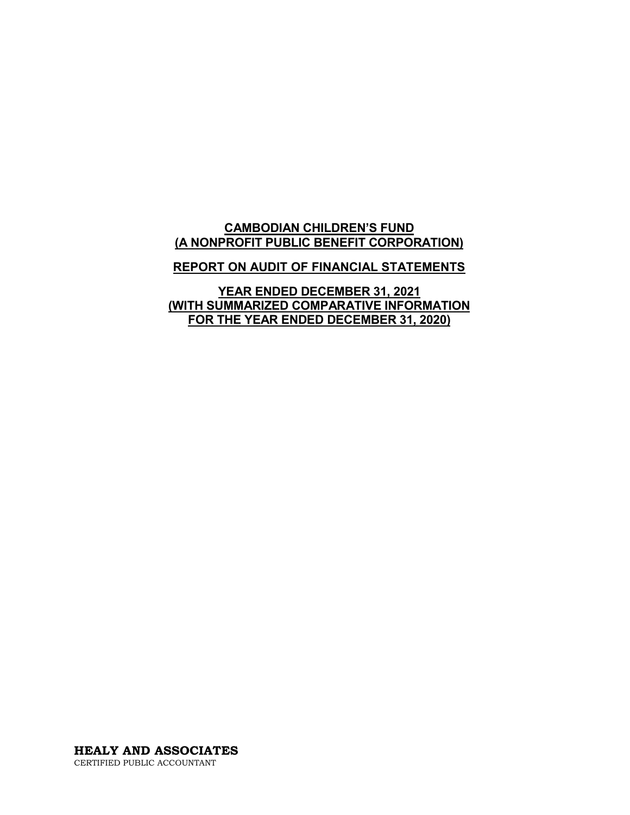# **CAMBODIAN CHILDREN'S FUND (A NONPROFIT PUBLIC BENEFIT CORPORATION)**

### **REPORT ON AUDIT OF FINANCIAL STATEMENTS**

**YEAR ENDED DECEMBER 31, 2021 (WITH SUMMARIZED COMPARATIVE INFORMATION FOR THE YEAR ENDED DECEMBER 31, 2020)**

**HEALY AND ASSOCIATES** CERTIFIED PUBLIC ACCOUNTANT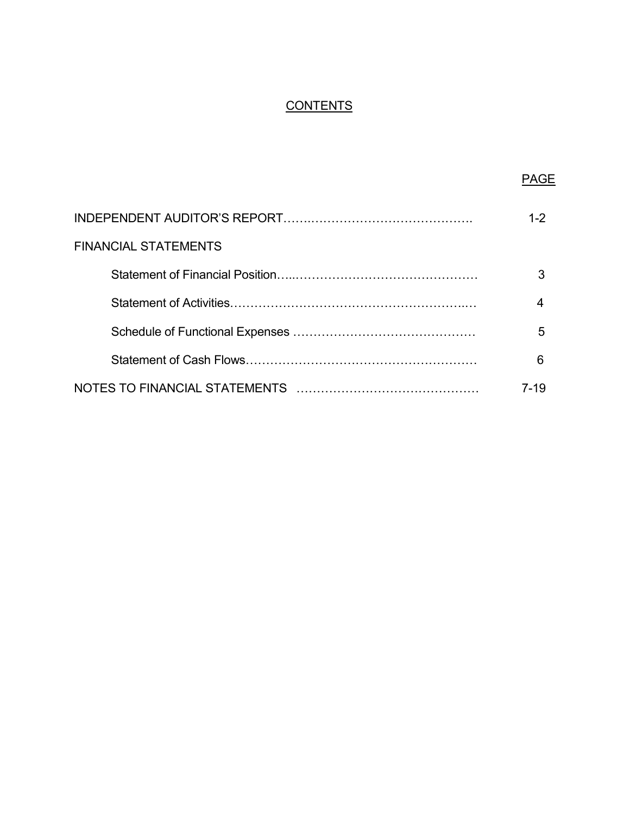# **CONTENTS**

|                      | PAGF    |
|----------------------|---------|
|                      | $1 - 2$ |
| FINANCIAL STATEMENTS |         |
|                      | 3       |
|                      | 4       |
|                      | 5       |
|                      | 6       |
|                      | 7-19    |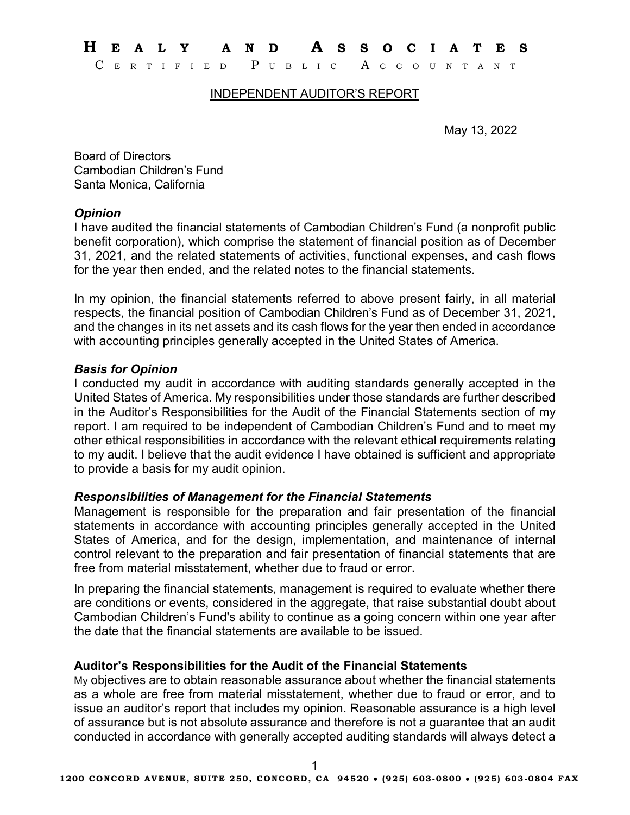**H EALY AND A SSOCIATES**

C ERTIFIED P UBLIC A CCOUNTANT

#### INDEPENDENT AUDITOR'S REPORT

May 13, 2022

Board of Directors Cambodian Children's Fund Santa Monica, California

#### *Opinion*

I have audited the financial statements of Cambodian Children's Fund (a nonprofit public benefit corporation), which comprise the statement of financial position as of December 31, 2021, and the related statements of activities, functional expenses, and cash flows for the year then ended, and the related notes to the financial statements.

In my opinion, the financial statements referred to above present fairly, in all material respects, the financial position of Cambodian Children's Fund as of December 31, 2021, and the changes in its net assets and its cash flows for the year then ended in accordance with accounting principles generally accepted in the United States of America.

# *Basis for Opinion*

I conducted my audit in accordance with auditing standards generally accepted in the United States of America. My responsibilities under those standards are further described in the Auditor's Responsibilities for the Audit of the Financial Statements section of my report. I am required to be independent of Cambodian Children's Fund and to meet my other ethical responsibilities in accordance with the relevant ethical requirements relating to my audit. I believe that the audit evidence I have obtained is sufficient and appropriate to provide a basis for my audit opinion.

#### *Responsibilities of Management for the Financial Statements*

Management is responsible for the preparation and fair presentation of the financial statements in accordance with accounting principles generally accepted in the United States of America, and for the design, implementation, and maintenance of internal control relevant to the preparation and fair presentation of financial statements that are free from material misstatement, whether due to fraud or error.

In preparing the financial statements, management is required to evaluate whether there are conditions or events, considered in the aggregate, that raise substantial doubt about Cambodian Children's Fund's ability to continue as a going concern within one year after the date that the financial statements are available to be issued.

# **Auditor's Responsibilities for the Audit of the Financial Statements**

My objectives are to obtain reasonable assurance about whether the financial statements as a whole are free from material misstatement, whether due to fraud or error, and to issue an auditor's report that includes my opinion. Reasonable assurance is a high level of assurance but is not absolute assurance and therefore is not a guarantee that an audit conducted in accordance with generally accepted auditing standards will always detect a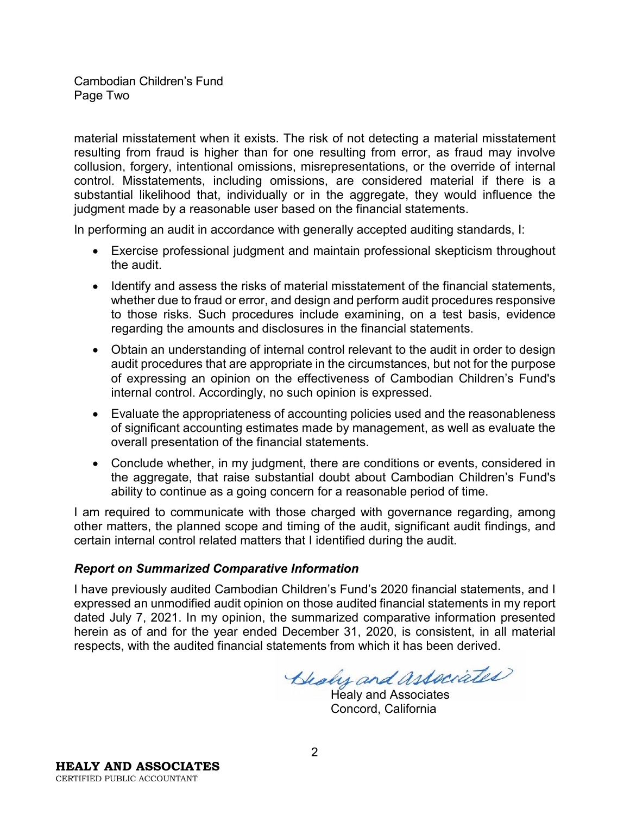Cambodian Children's Fund Page Two

material misstatement when it exists. The risk of not detecting a material misstatement resulting from fraud is higher than for one resulting from error, as fraud may involve collusion, forgery, intentional omissions, misrepresentations, or the override of internal control. Misstatements, including omissions, are considered material if there is a substantial likelihood that, individually or in the aggregate, they would influence the judgment made by a reasonable user based on the financial statements.

In performing an audit in accordance with generally accepted auditing standards, I:

- Exercise professional judgment and maintain professional skepticism throughout the audit.
- Identify and assess the risks of material misstatement of the financial statements, whether due to fraud or error, and design and perform audit procedures responsive to those risks. Such procedures include examining, on a test basis, evidence regarding the amounts and disclosures in the financial statements.
- Obtain an understanding of internal control relevant to the audit in order to design audit procedures that are appropriate in the circumstances, but not for the purpose of expressing an opinion on the effectiveness of Cambodian Children's Fund's internal control. Accordingly, no such opinion is expressed.
- Evaluate the appropriateness of accounting policies used and the reasonableness of significant accounting estimates made by management, as well as evaluate the overall presentation of the financial statements.
- Conclude whether, in my judgment, there are conditions or events, considered in the aggregate, that raise substantial doubt about Cambodian Children's Fund's ability to continue as a going concern for a reasonable period of time.

I am required to communicate with those charged with governance regarding, among other matters, the planned scope and timing of the audit, significant audit findings, and certain internal control related matters that I identified during the audit.

# *Report on Summarized Comparative Information*

I have previously audited Cambodian Children's Fund's 2020 financial statements, and I expressed an unmodified audit opinion on those audited financial statements in my report dated July 7, 2021. In my opinion, the summarized comparative information presented herein as of and for the year ended December 31, 2020, is consistent, in all material respects, with the audited financial statements from which it has been derived.

Blody and associated

Healy and Associates Concord, California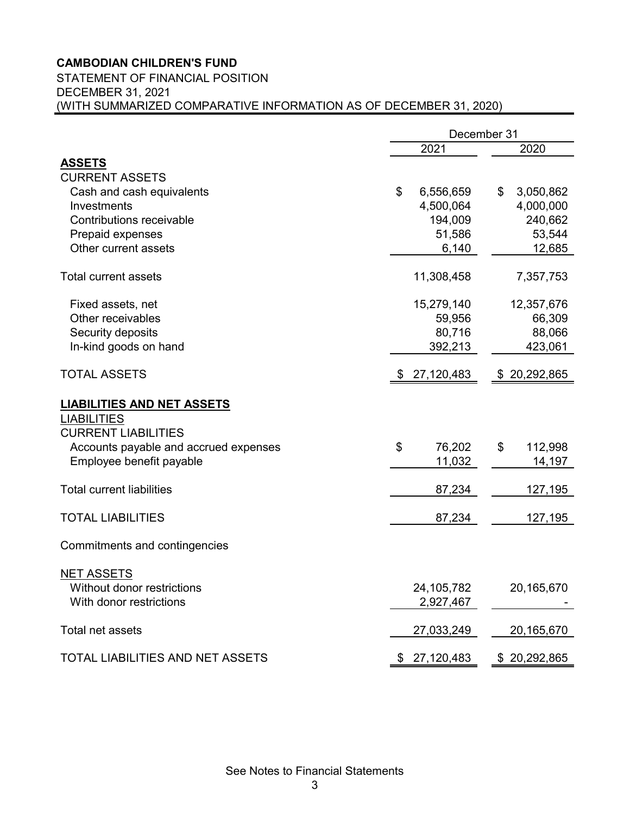# **CAMBODIAN CHILDREN'S FUND**

#### STATEMENT OF FINANCIAL POSITION DECEMBER 31, 2021

(WITH SUMMARIZED COMPARATIVE INFORMATION AS OF DECEMBER 31, 2020)

| 2021<br>2020<br><b>ASSETS</b><br><b>CURRENT ASSETS</b><br>\$<br>Cash and cash equivalents<br>6,556,659<br>\$<br>3,050,862<br>Investments<br>4,500,064<br>4,000,000<br><b>Contributions receivable</b><br>194,009<br>240,662<br>Prepaid expenses<br>51,586 | 53,544 |
|-----------------------------------------------------------------------------------------------------------------------------------------------------------------------------------------------------------------------------------------------------------|--------|
|                                                                                                                                                                                                                                                           |        |
|                                                                                                                                                                                                                                                           |        |
|                                                                                                                                                                                                                                                           |        |
|                                                                                                                                                                                                                                                           |        |
|                                                                                                                                                                                                                                                           |        |
|                                                                                                                                                                                                                                                           |        |
|                                                                                                                                                                                                                                                           |        |
| Other current assets<br>6,140<br>12,685                                                                                                                                                                                                                   |        |
| 11,308,458<br><b>Total current assets</b><br>7,357,753                                                                                                                                                                                                    |        |
| 15,279,140<br>12,357,676<br>Fixed assets, net                                                                                                                                                                                                             |        |
| Other receivables<br>59,956<br>66,309                                                                                                                                                                                                                     |        |
| 80,716<br>88,066<br>Security deposits                                                                                                                                                                                                                     |        |
| In-kind goods on hand<br>392,213<br>423,061                                                                                                                                                                                                               |        |
| <b>TOTAL ASSETS</b><br>27,120,483<br>\$20,292,865<br>\$                                                                                                                                                                                                   |        |
| <b>LIABILITIES AND NET ASSETS</b><br><b>LIABILITIES</b><br><b>CURRENT LIABILITIES</b>                                                                                                                                                                     |        |
| Accounts payable and accrued expenses<br>\$<br>76,202<br>\$<br>112,998                                                                                                                                                                                    |        |
| Employee benefit payable<br>11,032<br>14,197                                                                                                                                                                                                              |        |
| <b>Total current liabilities</b><br>87,234<br>127,195                                                                                                                                                                                                     |        |
| <b>TOTAL LIABILITIES</b><br>87,234<br>127,195                                                                                                                                                                                                             |        |
| Commitments and contingencies                                                                                                                                                                                                                             |        |
| <b>NET ASSETS</b>                                                                                                                                                                                                                                         |        |
| 24,105,782<br>20,165,670<br>Without donor restrictions                                                                                                                                                                                                    |        |
| With donor restrictions<br>2,927,467                                                                                                                                                                                                                      |        |
| Total net assets<br>27,033,249<br>20,165,670                                                                                                                                                                                                              |        |
| TOTAL LIABILITIES AND NET ASSETS<br>\$27,120,483<br>\$20,292,865                                                                                                                                                                                          |        |

See Notes to Financial Statements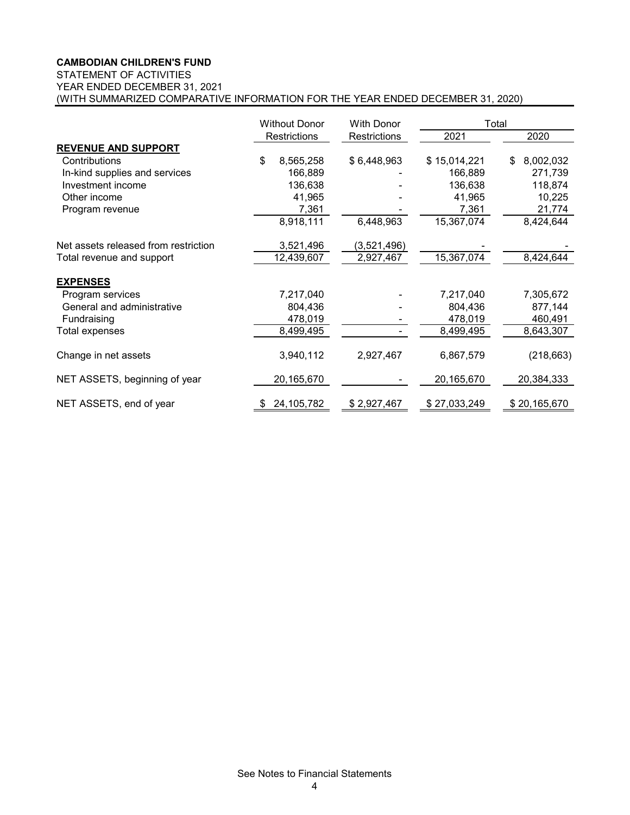#### **CAMBODIAN CHILDREN'S FUND**

# STATEMENT OF ACTIVITIES

YEAR ENDED DECEMBER 31, 2021

(WITH SUMMARIZED COMPARATIVE INFORMATION FOR THE YEAR ENDED DECEMBER 31, 2020)

|                                      | <b>Without Donor</b> | <b>With Donor</b> |              | Total           |
|--------------------------------------|----------------------|-------------------|--------------|-----------------|
|                                      | Restrictions         | Restrictions      | 2021         | 2020            |
| <b>REVENUE AND SUPPORT</b>           |                      |                   |              |                 |
| Contributions                        | \$<br>8,565,258      | \$6,448,963       | \$15,014,221 | 8,002,032<br>\$ |
| In-kind supplies and services        | 166,889              |                   | 166,889      | 271,739         |
| Investment income                    | 136,638              |                   | 136,638      | 118,874         |
| Other income                         | 41,965               |                   | 41,965       | 10,225          |
| Program revenue                      | 7,361                |                   | 7,361        | 21,774          |
|                                      | 8,918,111            | 6,448,963         | 15,367,074   | 8,424,644       |
| Net assets released from restriction | 3,521,496            | (3,521,496)       |              |                 |
| Total revenue and support            | 12,439,607           | 2,927,467         | 15,367,074   | 8,424,644       |
| <b>EXPENSES</b>                      |                      |                   |              |                 |
| Program services                     | 7,217,040            |                   | 7,217,040    | 7,305,672       |
| General and administrative           | 804,436              |                   | 804,436      | 877,144         |
| Fundraising                          | 478,019              |                   | 478,019      | 460,491         |
| Total expenses                       | 8,499,495            |                   | 8,499,495    | 8,643,307       |
| Change in net assets                 | 3,940,112            | 2,927,467         | 6,867,579    | (218, 663)      |
| NET ASSETS, beginning of year        | 20,165,670           |                   | 20,165,670   | 20,384,333      |
| NET ASSETS, end of year              | 24, 105, 782         | \$2,927,467       | \$27,033,249 | \$20,165,670    |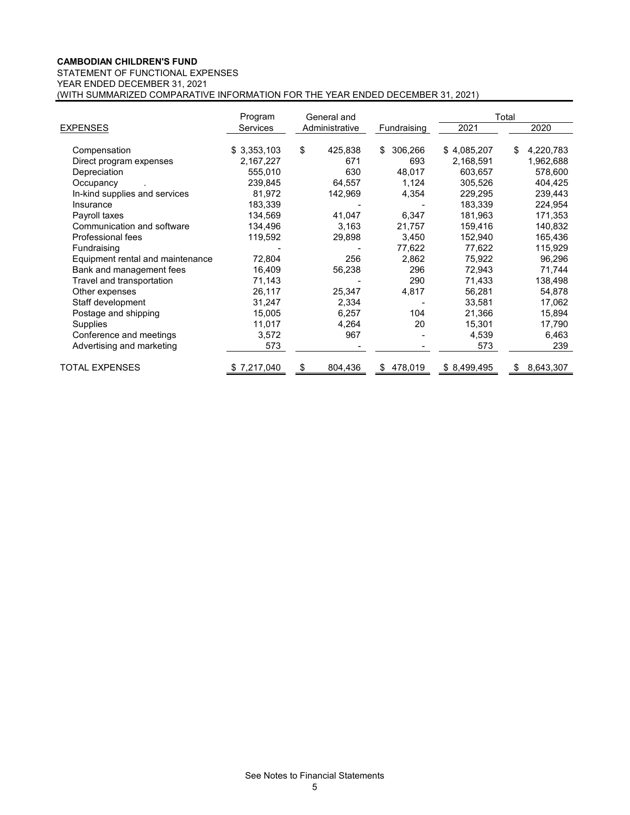|                                  | Program     | General and    |               |             | Total |           |
|----------------------------------|-------------|----------------|---------------|-------------|-------|-----------|
| <b>EXPENSES</b>                  | Services    | Administrative | Fundraising   | 2021        |       | 2020      |
|                                  |             |                |               |             |       |           |
| Compensation                     | \$3,353,103 | \$<br>425,838  | 306,266<br>\$ | \$4,085,207 | \$    | 4,220,783 |
| Direct program expenses          | 2,167,227   | 671            | 693           | 2,168,591   |       | 1,962,688 |
| Depreciation                     | 555,010     | 630            | 48,017        | 603,657     |       | 578,600   |
| Occupancy                        | 239,845     | 64,557         | 1,124         | 305,526     |       | 404,425   |
| In-kind supplies and services    | 81,972      | 142,969        | 4,354         | 229,295     |       | 239,443   |
| Insurance                        | 183,339     |                |               | 183,339     |       | 224,954   |
| Payroll taxes                    | 134,569     | 41,047         | 6,347         | 181,963     |       | 171,353   |
| Communication and software       | 134,496     | 3,163          | 21,757        | 159,416     |       | 140,832   |
| Professional fees                | 119,592     | 29,898         | 3,450         | 152,940     |       | 165,436   |
| Fundraising                      |             |                | 77,622        | 77,622      |       | 115,929   |
| Equipment rental and maintenance | 72,804      | 256            | 2,862         | 75,922      |       | 96,296    |
| Bank and management fees         | 16,409      | 56,238         | 296           | 72,943      |       | 71,744    |
| Travel and transportation        | 71,143      |                | 290           | 71,433      |       | 138,498   |
| Other expenses                   | 26,117      | 25,347         | 4,817         | 56,281      |       | 54,878    |
| Staff development                | 31,247      | 2,334          |               | 33,581      |       | 17,062    |
| Postage and shipping             | 15,005      | 6,257          | 104           | 21,366      |       | 15,894    |
| Supplies                         | 11,017      | 4,264          | 20            | 15,301      |       | 17,790    |
| Conference and meetings          | 3,572       | 967            |               | 4,539       |       | 6,463     |
| Advertising and marketing        | 573         |                |               | 573         |       | 239       |
| <b>TOTAL EXPENSES</b>            | \$7,217,040 | 804,436        | 478,019<br>S  | \$8,499,495 | \$    | 8,643,307 |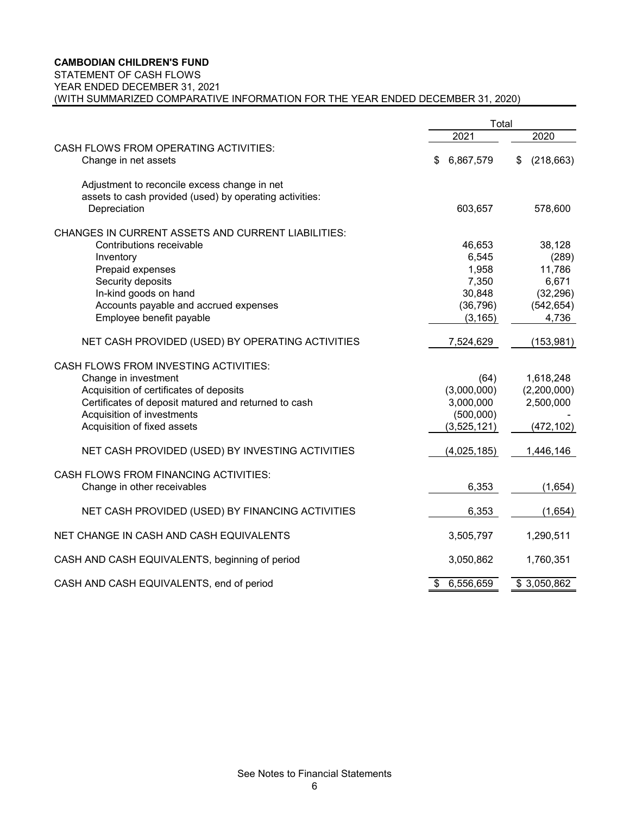#### **CAMBODIAN CHILDREN'S FUND**

#### STATEMENT OF CASH FLOWS

YEAR ENDED DECEMBER 31, 2021

(WITH SUMMARIZED COMPARATIVE INFORMATION FOR THE YEAR ENDED DECEMBER 31, 2020)

|                                                           | Total              |                  |
|-----------------------------------------------------------|--------------------|------------------|
|                                                           | 2021               | 2020             |
| CASH FLOWS FROM OPERATING ACTIVITIES:                     |                    |                  |
| Change in net assets                                      | 6,867,579<br>S     | (218, 663)<br>\$ |
| Adjustment to reconcile excess change in net              |                    |                  |
| assets to cash provided (used) by operating activities:   |                    |                  |
| Depreciation                                              | 603,657            | 578,600          |
| <b>CHANGES IN CURRENT ASSETS AND CURRENT LIABILITIES:</b> |                    |                  |
| Contributions receivable                                  | 46,653             | 38,128           |
| Inventory                                                 | 6,545              | (289)            |
| Prepaid expenses                                          | 1,958              | 11,786           |
| Security deposits                                         | 7,350              | 6,671            |
| In-kind goods on hand                                     | 30,848             | (32, 296)        |
| Accounts payable and accrued expenses                     | (36, 796)          | (542, 654)       |
| Employee benefit payable                                  | (3, 165)           | 4,736            |
| NET CASH PROVIDED (USED) BY OPERATING ACTIVITIES          | 7,524,629          | (153, 981)       |
| <b>CASH FLOWS FROM INVESTING ACTIVITIES:</b>              |                    |                  |
| Change in investment                                      | (64)               | 1,618,248        |
| Acquisition of certificates of deposits                   | (3,000,000)        | (2,200,000)      |
| Certificates of deposit matured and returned to cash      | 3,000,000          | 2,500,000        |
| Acquisition of investments                                | (500,000)          |                  |
| Acquisition of fixed assets                               | (3,525,121)        | (472, 102)       |
| NET CASH PROVIDED (USED) BY INVESTING ACTIVITIES          | (4,025,185)        | 1,446,146        |
| <b>CASH FLOWS FROM FINANCING ACTIVITIES:</b>              |                    |                  |
| Change in other receivables                               | 6,353              | (1,654)          |
|                                                           |                    |                  |
| NET CASH PROVIDED (USED) BY FINANCING ACTIVITIES          | 6,353              | (1,654)          |
| NET CHANGE IN CASH AND CASH EQUIVALENTS                   | 3,505,797          | 1,290,511        |
| CASH AND CASH EQUIVALENTS, beginning of period            | 3,050,862          | 1,760,351        |
| CASH AND CASH EQUIVALENTS, end of period                  | 6,556,659<br>$\$\$ | \$3,050,862      |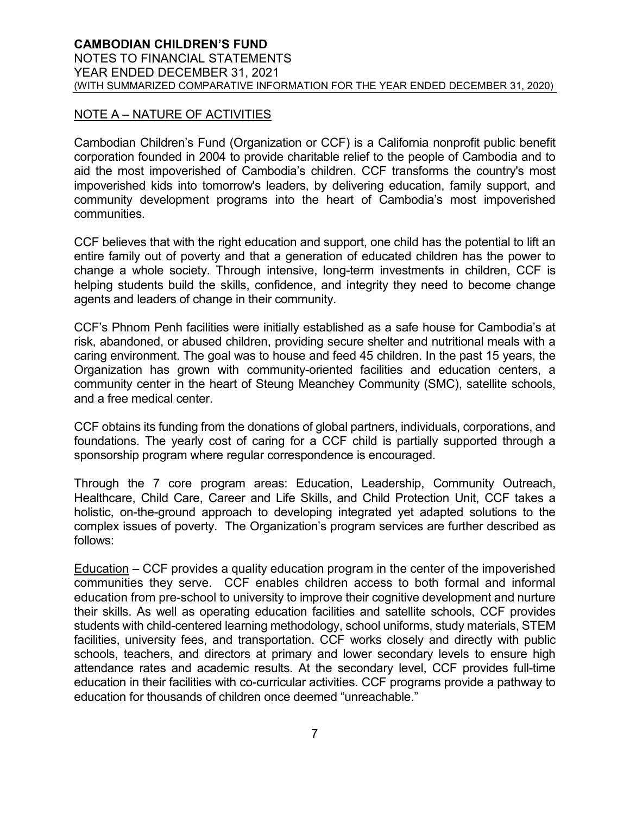# NOTE A – NATURE OF ACTIVITIES

Cambodian Children's Fund (Organization or CCF) is a California nonprofit public benefit corporation founded in 2004 to provide charitable relief to the people of Cambodia and to aid the most impoverished of Cambodia's children. CCF transforms the country's most impoverished kids into tomorrow's leaders, by delivering education, family support, and community development programs into the heart of Cambodia's most impoverished communities.

CCF believes that with the right education and support, one child has the potential to lift an entire family out of poverty and that a generation of educated children has the power to change a whole society. Through intensive, long-term investments in children, CCF is helping students build the skills, confidence, and integrity they need to become change agents and leaders of change in their community.

CCF's Phnom Penh facilities were initially established as a safe house for Cambodia's at risk, abandoned, or abused children, providing secure shelter and nutritional meals with a caring environment. The goal was to house and feed 45 children. In the past 15 years, the Organization has grown with community-oriented facilities and education centers, a community center in the heart of Steung Meanchey Community (SMC), satellite schools, and a free medical center.

CCF obtains its funding from the donations of global partners, individuals, corporations, and foundations. The yearly cost of caring for a CCF child is partially supported through a sponsorship program where regular correspondence is encouraged.

Through the 7 core program areas: Education, Leadership, Community Outreach, Healthcare, Child Care, Career and Life Skills, and Child Protection Unit, CCF takes a holistic, on-the-ground approach to developing integrated yet adapted solutions to the complex issues of poverty. The Organization's program services are further described as follows:

Education – CCF provides a quality education program in the center of the impoverished communities they serve. CCF enables children access to both formal and informal education from pre-school to university to improve their cognitive development and nurture their skills. As well as operating education facilities and satellite schools, CCF provides students with child-centered learning methodology, school uniforms, study materials, STEM facilities, university fees, and transportation. CCF works closely and directly with public schools, teachers, and directors at primary and lower secondary levels to ensure high attendance rates and academic results. At the secondary level, CCF provides full-time education in their facilities with co-curricular activities. CCF programs provide a pathway to education for thousands of children once deemed "unreachable."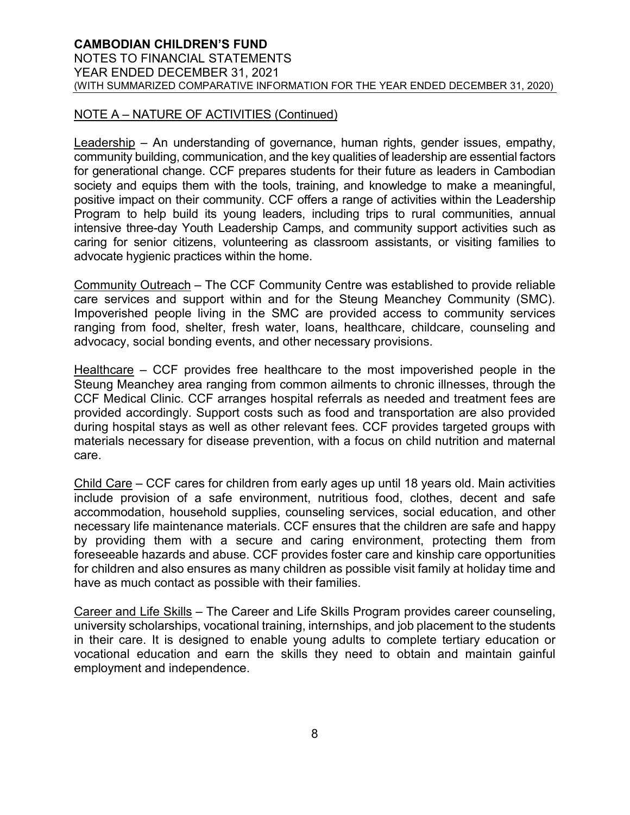# NOTE A – NATURE OF ACTIVITIES (Continued)

Leadership – An understanding of governance, human rights, gender issues, empathy, community building, communication, and the key qualities of leadership are essential factors for generational change. CCF prepares students for their future as leaders in Cambodian society and equips them with the tools, training, and knowledge to make a meaningful, positive impact on their community. CCF offers a range of activities within the Leadership Program to help build its young leaders, including trips to rural communities, annual intensive three-day Youth Leadership Camps, and community support activities such as caring for senior citizens, volunteering as classroom assistants, or visiting families to advocate hygienic practices within the home.

Community Outreach – The CCF Community Centre was established to provide reliable care services and support within and for the Steung Meanchey Community (SMC). Impoverished people living in the SMC are provided access to community services ranging from food, shelter, fresh water, loans, healthcare, childcare, counseling and advocacy, social bonding events, and other necessary provisions.

Healthcare – CCF provides free healthcare to the most impoverished people in the Steung Meanchey area ranging from common ailments to chronic illnesses, through the CCF Medical Clinic. CCF arranges hospital referrals as needed and treatment fees are provided accordingly. Support costs such as food and transportation are also provided during hospital stays as well as other relevant fees. CCF provides targeted groups with materials necessary for disease prevention, with a focus on child nutrition and maternal care.

Child Care – CCF cares for children from early ages up until 18 years old. Main activities include provision of a safe environment, nutritious food, clothes, decent and safe accommodation, household supplies, counseling services, social education, and other necessary life maintenance materials. CCF ensures that the children are safe and happy by providing them with a secure and caring environment, protecting them from foreseeable hazards and abuse. CCF provides foster care and kinship care opportunities for children and also ensures as many children as possible visit family at holiday time and have as much contact as possible with their families.

Career and Life Skills – The Career and Life Skills Program provides career counseling, university scholarships, vocational training, internships, and job placement to the students in their care. It is designed to enable young adults to complete tertiary education or vocational education and earn the skills they need to obtain and maintain gainful employment and independence.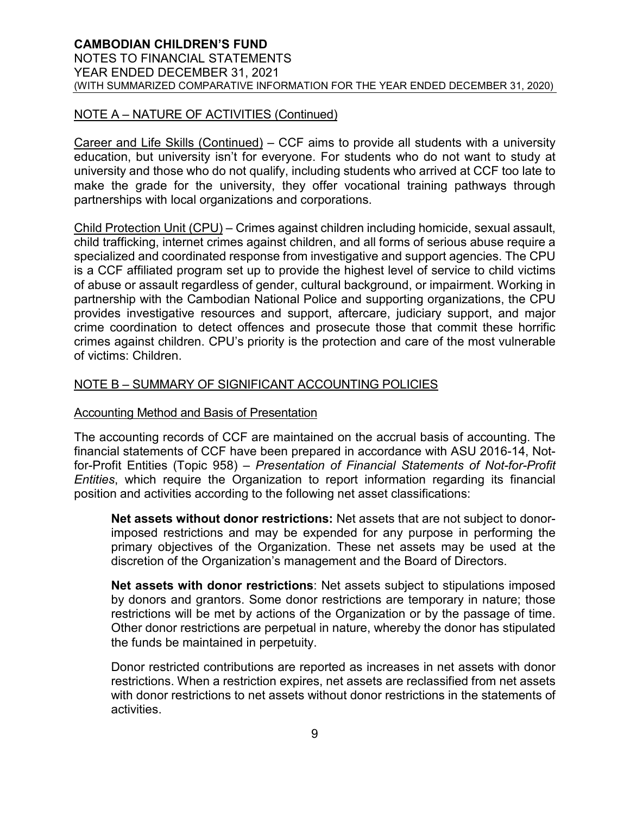# NOTE A – NATURE OF ACTIVITIES (Continued)

Career and Life Skills (Continued) – CCF aims to provide all students with a university education, but university isn't for everyone. For students who do not want to study at university and those who do not qualify, including students who arrived at CCF too late to make the grade for the university, they offer vocational training pathways through partnerships with local organizations and corporations.

Child Protection Unit (CPU) – Crimes against children including homicide, sexual assault, child trafficking, internet crimes against children, and all forms of serious abuse require a specialized and coordinated response from investigative and support agencies. The CPU is a CCF affiliated program set up to provide the highest level of service to child victims of abuse or assault regardless of gender, cultural background, or impairment. Working in partnership with the Cambodian National Police and supporting organizations, the CPU provides investigative resources and support, aftercare, judiciary support, and major crime coordination to detect offences and prosecute those that commit these horrific crimes against children. CPU's priority is the protection and care of the most vulnerable of victims: Children.

# NOTE B – SUMMARY OF SIGNIFICANT ACCOUNTING POLICIES

#### Accounting Method and Basis of Presentation

The accounting records of CCF are maintained on the accrual basis of accounting. The financial statements of CCF have been prepared in accordance with ASU 2016-14, Notfor-Profit Entities (Topic 958) – *Presentation of Financial Statements of Not-for-Profit Entities*, which require the Organization to report information regarding its financial position and activities according to the following net asset classifications:

**Net assets without donor restrictions:** Net assets that are not subject to donorimposed restrictions and may be expended for any purpose in performing the primary objectives of the Organization. These net assets may be used at the discretion of the Organization's management and the Board of Directors.

**Net assets with donor restrictions**: Net assets subject to stipulations imposed by donors and grantors. Some donor restrictions are temporary in nature; those restrictions will be met by actions of the Organization or by the passage of time. Other donor restrictions are perpetual in nature, whereby the donor has stipulated the funds be maintained in perpetuity.

Donor restricted contributions are reported as increases in net assets with donor restrictions. When a restriction expires, net assets are reclassified from net assets with donor restrictions to net assets without donor restrictions in the statements of activities.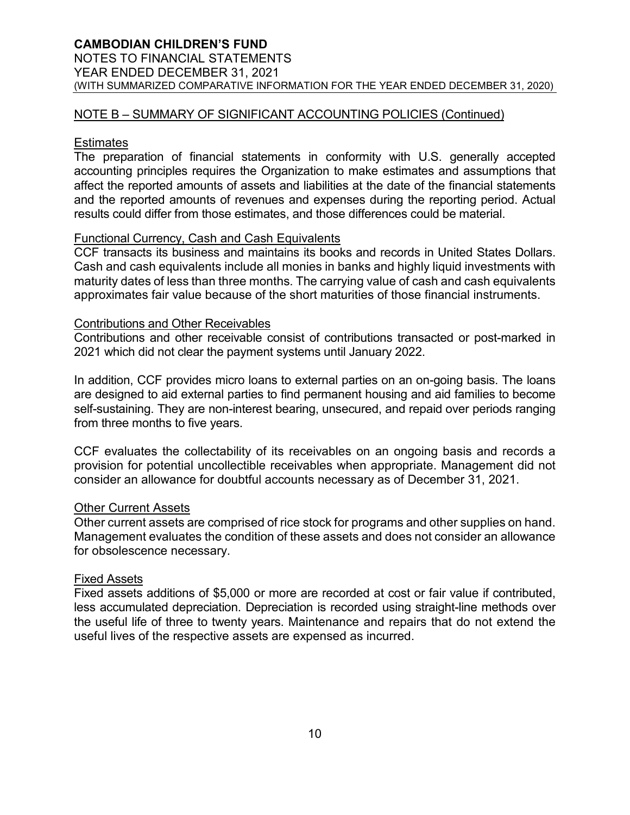# **CAMBODIAN CHILDREN'S FUND**

NOTES TO FINANCIAL STATEMENTS YEAR ENDED DECEMBER 31, 2021 (WITH SUMMARIZED COMPARATIVE INFORMATION FOR THE YEAR ENDED DECEMBER 31, 2020)

### NOTE B – SUMMARY OF SIGNIFICANT ACCOUNTING POLICIES (Continued)

### **Estimates**

The preparation of financial statements in conformity with U.S. generally accepted accounting principles requires the Organization to make estimates and assumptions that affect the reported amounts of assets and liabilities at the date of the financial statements and the reported amounts of revenues and expenses during the reporting period. Actual results could differ from those estimates, and those differences could be material.

# Functional Currency, Cash and Cash Equivalents

CCF transacts its business and maintains its books and records in United States Dollars. Cash and cash equivalents include all monies in banks and highly liquid investments with maturity dates of less than three months. The carrying value of cash and cash equivalents approximates fair value because of the short maturities of those financial instruments.

#### Contributions and Other Receivables

Contributions and other receivable consist of contributions transacted or post-marked in 2021 which did not clear the payment systems until January 2022.

In addition, CCF provides micro loans to external parties on an on-going basis. The loans are designed to aid external parties to find permanent housing and aid families to become self-sustaining. They are non-interest bearing, unsecured, and repaid over periods ranging from three months to five years.

CCF evaluates the collectability of its receivables on an ongoing basis and records a provision for potential uncollectible receivables when appropriate. Management did not consider an allowance for doubtful accounts necessary as of December 31, 2021.

#### **Other Current Assets**

Other current assets are comprised of rice stock for programs and other supplies on hand. Management evaluates the condition of these assets and does not consider an allowance for obsolescence necessary.

#### Fixed Assets

Fixed assets additions of \$5,000 or more are recorded at cost or fair value if contributed, less accumulated depreciation. Depreciation is recorded using straight-line methods over the useful life of three to twenty years. Maintenance and repairs that do not extend the useful lives of the respective assets are expensed as incurred.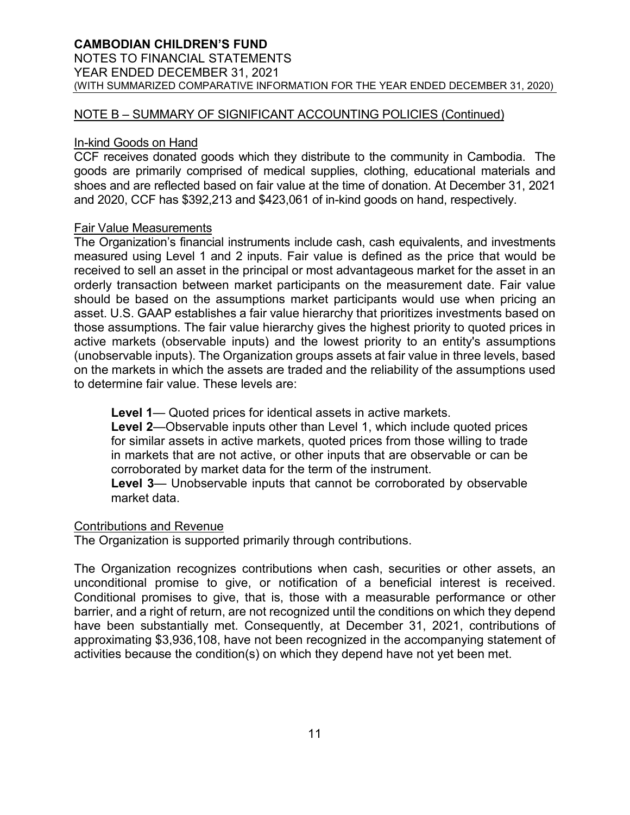### NOTE B – SUMMARY OF SIGNIFICANT ACCOUNTING POLICIES (Continued)

#### In-kind Goods on Hand

CCF receives donated goods which they distribute to the community in Cambodia. The goods are primarily comprised of medical supplies, clothing, educational materials and shoes and are reflected based on fair value at the time of donation. At December 31, 2021 and 2020, CCF has \$392,213 and \$423,061 of in-kind goods on hand, respectively.

#### Fair Value Measurements

The Organization's financial instruments include cash, cash equivalents, and investments measured using Level 1 and 2 inputs. Fair value is defined as the price that would be received to sell an asset in the principal or most advantageous market for the asset in an orderly transaction between market participants on the measurement date. Fair value should be based on the assumptions market participants would use when pricing an asset. U.S. GAAP establishes a fair value hierarchy that prioritizes investments based on those assumptions. The fair value hierarchy gives the highest priority to quoted prices in active markets (observable inputs) and the lowest priority to an entity's assumptions (unobservable inputs). The Organization groups assets at fair value in three levels, based on the markets in which the assets are traded and the reliability of the assumptions used to determine fair value. These levels are:

**Level 1**— Quoted prices for identical assets in active markets.

**Level 2**—Observable inputs other than Level 1, which include quoted prices for similar assets in active markets, quoted prices from those willing to trade in markets that are not active, or other inputs that are observable or can be corroborated by market data for the term of the instrument.

**Level 3**— Unobservable inputs that cannot be corroborated by observable market data.

#### Contributions and Revenue

The Organization is supported primarily through contributions.

The Organization recognizes contributions when cash, securities or other assets, an unconditional promise to give, or notification of a beneficial interest is received. Conditional promises to give, that is, those with a measurable performance or other barrier, and a right of return, are not recognized until the conditions on which they depend have been substantially met. Consequently, at December 31, 2021, contributions of approximating \$3,936,108, have not been recognized in the accompanying statement of activities because the condition(s) on which they depend have not yet been met.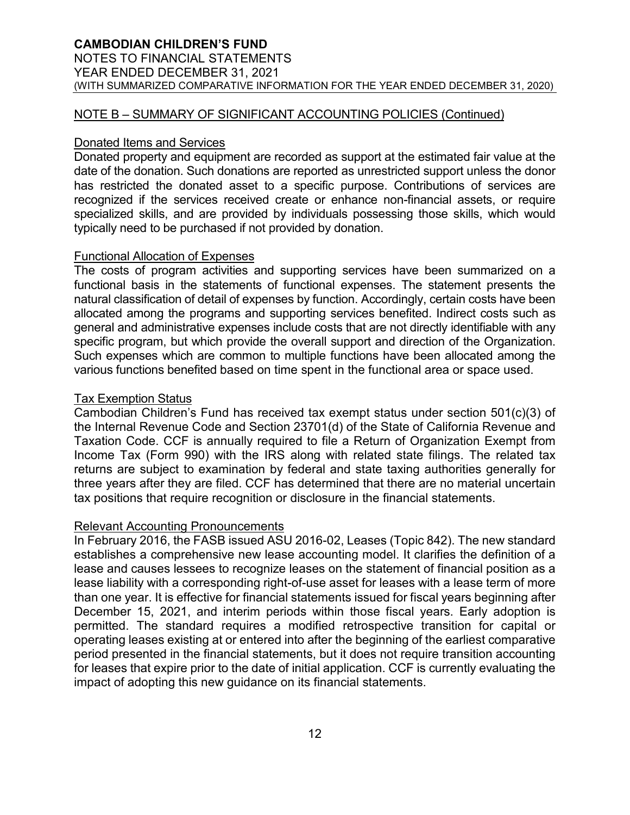#### NOTE B – SUMMARY OF SIGNIFICANT ACCOUNTING POLICIES (Continued)

#### Donated Items and Services

Donated property and equipment are recorded as support at the estimated fair value at the date of the donation. Such donations are reported as unrestricted support unless the donor has restricted the donated asset to a specific purpose. Contributions of services are recognized if the services received create or enhance non-financial assets, or require specialized skills, and are provided by individuals possessing those skills, which would typically need to be purchased if not provided by donation.

#### Functional Allocation of Expenses

The costs of program activities and supporting services have been summarized on a functional basis in the statements of functional expenses. The statement presents the natural classification of detail of expenses by function. Accordingly, certain costs have been allocated among the programs and supporting services benefited. Indirect costs such as general and administrative expenses include costs that are not directly identifiable with any specific program, but which provide the overall support and direction of the Organization. Such expenses which are common to multiple functions have been allocated among the various functions benefited based on time spent in the functional area or space used.

#### Tax Exemption Status

Cambodian Children's Fund has received tax exempt status under section 501(c)(3) of the Internal Revenue Code and Section 23701(d) of the State of California Revenue and Taxation Code. CCF is annually required to file a Return of Organization Exempt from Income Tax (Form 990) with the IRS along with related state filings. The related tax returns are subject to examination by federal and state taxing authorities generally for three years after they are filed. CCF has determined that there are no material uncertain tax positions that require recognition or disclosure in the financial statements.

#### Relevant Accounting Pronouncements

In February 2016, the FASB issued ASU 2016-02, Leases (Topic 842). The new standard establishes a comprehensive new lease accounting model. It clarifies the definition of a lease and causes lessees to recognize leases on the statement of financial position as a lease liability with a corresponding right-of-use asset for leases with a lease term of more than one year. It is effective for financial statements issued for fiscal years beginning after December 15, 2021, and interim periods within those fiscal years. Early adoption is permitted. The standard requires a modified retrospective transition for capital or operating leases existing at or entered into after the beginning of the earliest comparative period presented in the financial statements, but it does not require transition accounting for leases that expire prior to the date of initial application. CCF is currently evaluating the impact of adopting this new guidance on its financial statements.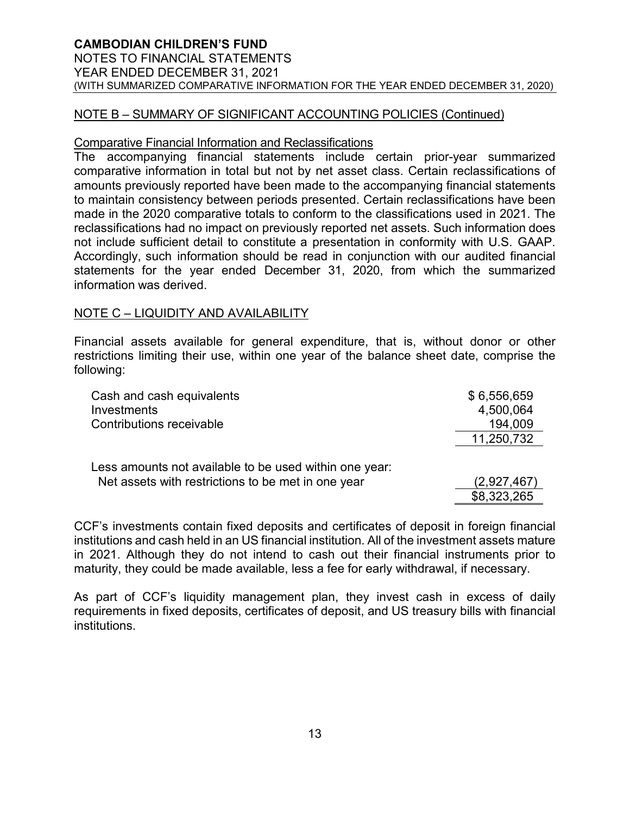# NOTE B – SUMMARY OF SIGNIFICANT ACCOUNTING POLICIES (Continued)

#### Comparative Financial Information and Reclassifications

The accompanying financial statements include certain prior-year summarized comparative information in total but not by net asset class. Certain reclassifications of amounts previously reported have been made to the accompanying financial statements to maintain consistency between periods presented. Certain reclassifications have been made in the 2020 comparative totals to conform to the classifications used in 2021. The reclassifications had no impact on previously reported net assets. Such information does not include sufficient detail to constitute a presentation in conformity with U.S. GAAP. Accordingly, such information should be read in conjunction with our audited financial statements for the year ended December 31, 2020, from which the summarized information was derived.

# NOTE C – LIQUIDITY AND AVAILABILITY

Financial assets available for general expenditure, that is, without donor or other restrictions limiting their use, within one year of the balance sheet date, comprise the following:

| Cash and cash equivalents                              | \$6,556,659 |
|--------------------------------------------------------|-------------|
| Investments                                            | 4,500,064   |
| Contributions receivable                               | 194,009     |
|                                                        | 11,250,732  |
|                                                        |             |
| Less amounts not available to be used within one year: |             |
| Net assets with restrictions to be met in one year     | (2,927,467) |
|                                                        | \$8,323,265 |

CCF's investments contain fixed deposits and certificates of deposit in foreign financial institutions and cash held in an US financial institution. All of the investment assets mature in 2021. Although they do not intend to cash out their financial instruments prior to maturity, they could be made available, less a fee for early withdrawal, if necessary.

As part of CCF's liquidity management plan, they invest cash in excess of daily requirements in fixed deposits, certificates of deposit, and US treasury bills with financial institutions.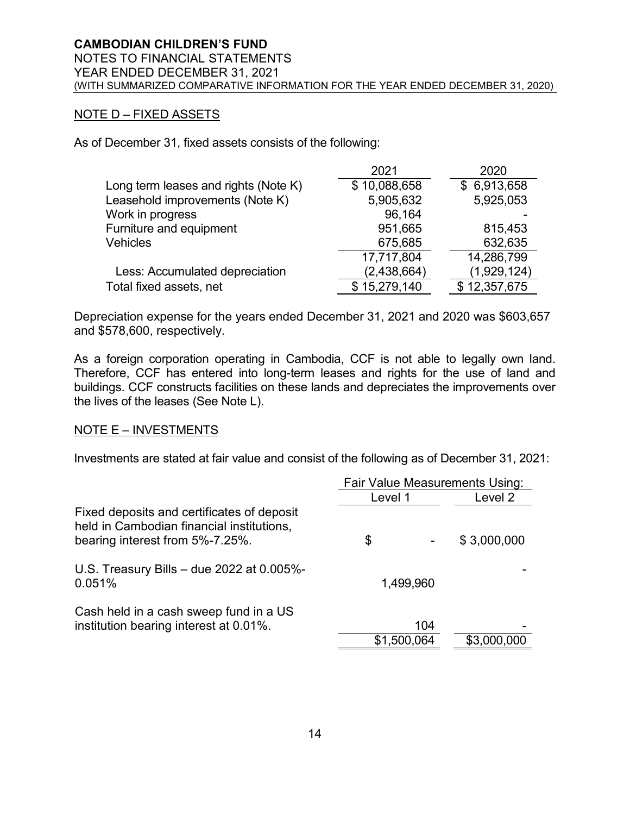# NOTE D – FIXED ASSETS

As of December 31, fixed assets consists of the following:

|                                      | 2021         | 2020         |
|--------------------------------------|--------------|--------------|
| Long term leases and rights (Note K) | \$10,088,658 | \$6,913,658  |
| Leasehold improvements (Note K)      | 5,905,632    | 5,925,053    |
| Work in progress                     | 96,164       |              |
| Furniture and equipment              | 951,665      | 815,453      |
| <b>Vehicles</b>                      | 675,685      | 632,635      |
|                                      | 17,717,804   | 14,286,799   |
| Less: Accumulated depreciation       | (2,438,664)  | (1,929,124)  |
| Total fixed assets, net              | \$15,279,140 | \$12,357,675 |

Depreciation expense for the years ended December 31, 2021 and 2020 was \$603,657 and \$578,600, respectively.

As a foreign corporation operating in Cambodia, CCF is not able to legally own land. Therefore, CCF has entered into long-term leases and rights for the use of land and buildings. CCF constructs facilities on these lands and depreciates the improvements over the lives of the leases (See Note L).

#### NOTE E – INVESTMENTS

Investments are stated at fair value and consist of the following as of December 31, 2021:

|                                                                                                                            | <b>Fair Value Measurements Using:</b> |             |             |
|----------------------------------------------------------------------------------------------------------------------------|---------------------------------------|-------------|-------------|
|                                                                                                                            | Level 1                               |             | Level 2     |
| Fixed deposits and certificates of deposit<br>held in Cambodian financial institutions,<br>bearing interest from 5%-7.25%. | \$                                    |             | \$3,000,000 |
| U.S. Treasury Bills $-$ due 2022 at 0.005%-<br>0.051%                                                                      |                                       | 1,499,960   |             |
| Cash held in a cash sweep fund in a US<br>institution bearing interest at 0.01%.                                           |                                       | 104         |             |
|                                                                                                                            |                                       | \$1,500,064 | \$3,000,000 |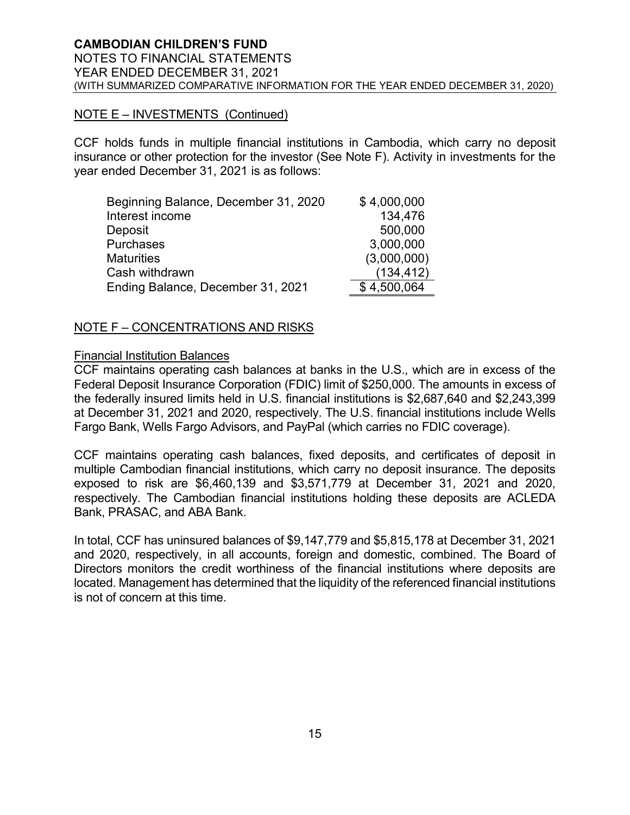# NOTE E – INVESTMENTS (Continued)

CCF holds funds in multiple financial institutions in Cambodia, which carry no deposit insurance or other protection for the investor (See Note F). Activity in investments for the year ended December 31, 2021 is as follows:

| Beginning Balance, December 31, 2020 | \$4,000,000 |
|--------------------------------------|-------------|
| Interest income                      | 134,476     |
| Deposit                              | 500,000     |
| Purchases                            | 3,000,000   |
| <b>Maturities</b>                    | (3,000,000) |
| Cash withdrawn                       | (134, 412)  |
| Ending Balance, December 31, 2021    | \$4,500,064 |

# NOTE F – CONCENTRATIONS AND RISKS

#### Financial Institution Balances

CCF maintains operating cash balances at banks in the U.S., which are in excess of the Federal Deposit Insurance Corporation (FDIC) limit of \$250,000. The amounts in excess of the federally insured limits held in U.S. financial institutions is \$2,687,640 and \$2,243,399 at December 31, 2021 and 2020, respectively. The U.S. financial institutions include Wells Fargo Bank, Wells Fargo Advisors, and PayPal (which carries no FDIC coverage).

CCF maintains operating cash balances, fixed deposits, and certificates of deposit in multiple Cambodian financial institutions, which carry no deposit insurance. The deposits exposed to risk are \$6,460,139 and \$3,571,779 at December 31, 2021 and 2020, respectively. The Cambodian financial institutions holding these deposits are ACLEDA Bank, PRASAC, and ABA Bank.

In total, CCF has uninsured balances of \$9,147,779 and \$5,815,178 at December 31, 2021 and 2020, respectively, in all accounts, foreign and domestic, combined. The Board of Directors monitors the credit worthiness of the financial institutions where deposits are located. Management has determined that the liquidity of the referenced financial institutions is not of concern at this time.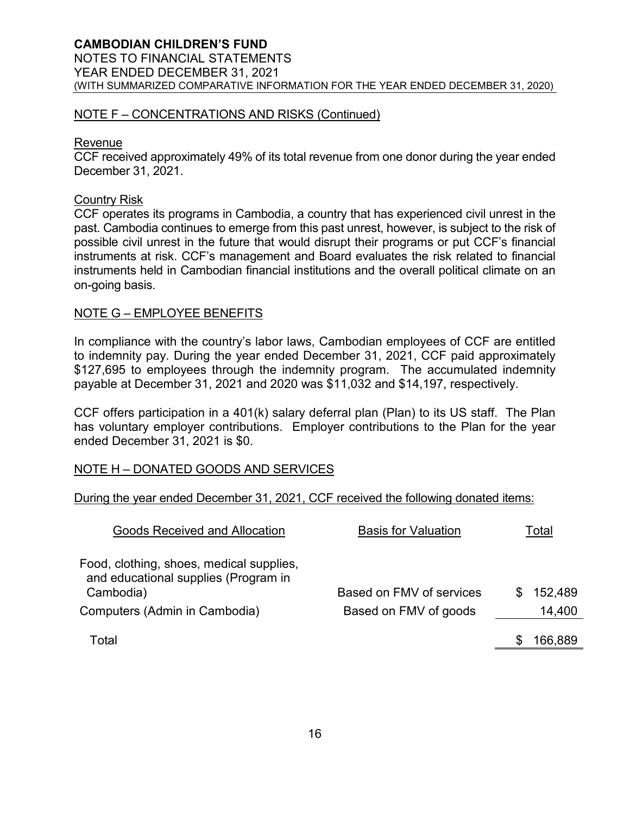### NOTE F – CONCENTRATIONS AND RISKS (Continued)

#### Revenue

CCF received approximately 49% of its total revenue from one donor during the year ended December 31, 2021.

#### Country Risk

CCF operates its programs in Cambodia, a country that has experienced civil unrest in the past. Cambodia continues to emerge from this past unrest, however, is subject to the risk of possible civil unrest in the future that would disrupt their programs or put CCF's financial instruments at risk. CCF's management and Board evaluates the risk related to financial instruments held in Cambodian financial institutions and the overall political climate on an on-going basis.

#### NOTE G – EMPLOYEE BENEFITS

In compliance with the country's labor laws, Cambodian employees of CCF are entitled to indemnity pay. During the year ended December 31, 2021, CCF paid approximately \$127,695 to employees through the indemnity program. The accumulated indemnity payable at December 31, 2021 and 2020 was \$11,032 and \$14,197, respectively.

CCF offers participation in a 401(k) salary deferral plan (Plan) to its US staff. The Plan has voluntary employer contributions. Employer contributions to the Plan for the year ended December 31, 2021 is \$0.

#### NOTE H – DONATED GOODS AND SERVICES

During the year ended December 31, 2021, CCF received the following donated items:

| <b>Goods Received and Allocation</b>                                                          | <b>Basis for Valuation</b> | Total   |
|-----------------------------------------------------------------------------------------------|----------------------------|---------|
| Food, clothing, shoes, medical supplies,<br>and educational supplies (Program in<br>Cambodia) | Based on FMV of services   | 152,489 |
| Computers (Admin in Cambodia)                                                                 | Based on FMV of goods      | 14,400  |
| Total                                                                                         |                            | 166,889 |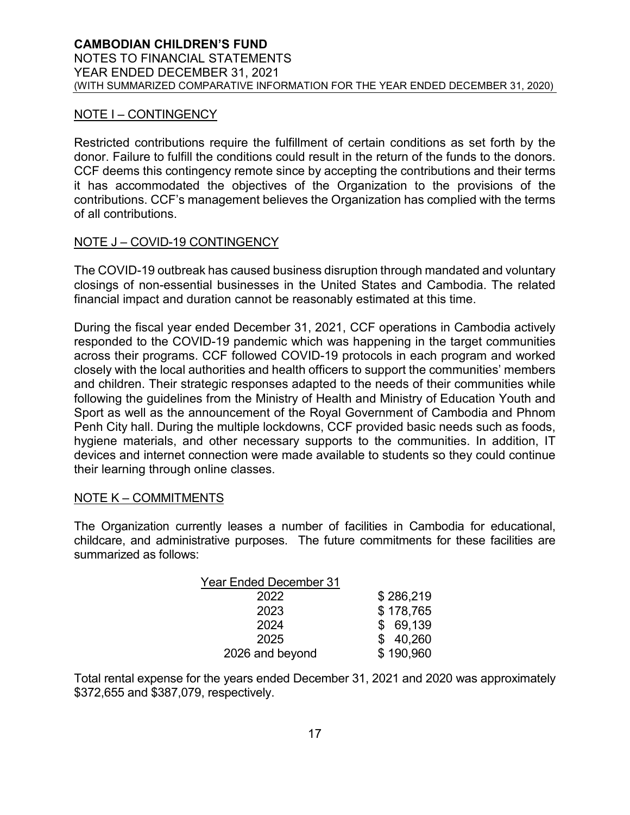# NOTE I – CONTINGENCY

Restricted contributions require the fulfillment of certain conditions as set forth by the donor. Failure to fulfill the conditions could result in the return of the funds to the donors. CCF deems this contingency remote since by accepting the contributions and their terms it has accommodated the objectives of the Organization to the provisions of the contributions. CCF's management believes the Organization has complied with the terms of all contributions.

# NOTE J – COVID-19 CONTINGENCY

The COVID-19 outbreak has caused business disruption through mandated and voluntary closings of non-essential businesses in the United States and Cambodia. The related financial impact and duration cannot be reasonably estimated at this time.

During the fiscal year ended December 31, 2021, CCF operations in Cambodia actively responded to the COVID-19 pandemic which was happening in the target communities across their programs. CCF followed COVID-19 protocols in each program and worked closely with the local authorities and health officers to support the communities' members and children. Their strategic responses adapted to the needs of their communities while following the guidelines from the Ministry of Health and Ministry of Education Youth and Sport as well as the announcement of the Royal Government of Cambodia and Phnom Penh City hall. During the multiple lockdowns, CCF provided basic needs such as foods, hygiene materials, and other necessary supports to the communities. In addition, IT devices and internet connection were made available to students so they could continue their learning through online classes.

#### NOTE K – COMMITMENTS

The Organization currently leases a number of facilities in Cambodia for educational, childcare, and administrative purposes. The future commitments for these facilities are summarized as follows:

| <b>Year Ended December 31</b> |           |
|-------------------------------|-----------|
| 2022                          | \$286,219 |
| 2023                          | \$178,765 |
| 2024                          | \$69,139  |
| 2025                          | \$40,260  |
| 2026 and beyond               | \$190,960 |

Total rental expense for the years ended December 31, 2021 and 2020 was approximately \$372,655 and \$387,079, respectively.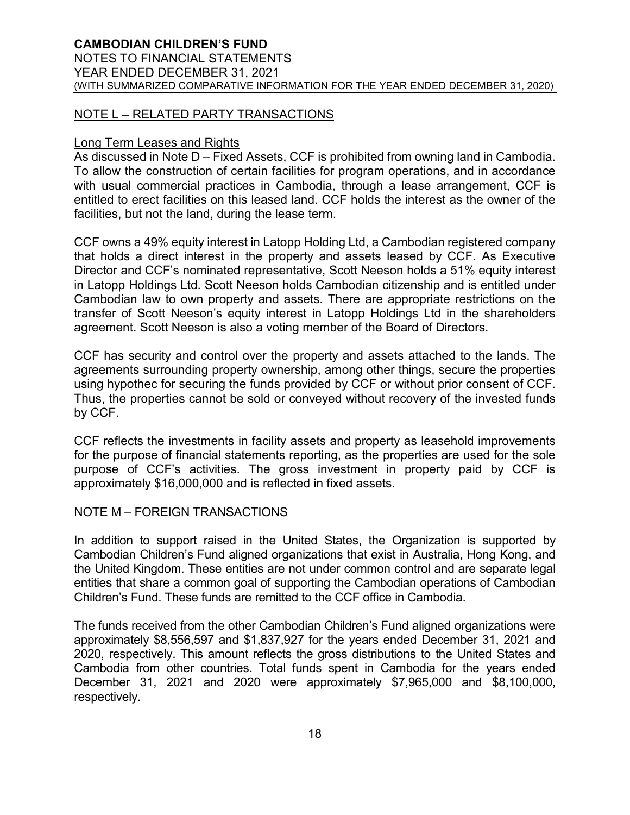### NOTE L – RELATED PARTY TRANSACTIONS

#### Long Term Leases and Rights

As discussed in Note D – Fixed Assets, CCF is prohibited from owning land in Cambodia. To allow the construction of certain facilities for program operations, and in accordance with usual commercial practices in Cambodia, through a lease arrangement, CCF is entitled to erect facilities on this leased land. CCF holds the interest as the owner of the facilities, but not the land, during the lease term.

CCF owns a 49% equity interest in Latopp Holding Ltd, a Cambodian registered company that holds a direct interest in the property and assets leased by CCF. As Executive Director and CCF's nominated representative, Scott Neeson holds a 51% equity interest in Latopp Holdings Ltd. Scott Neeson holds Cambodian citizenship and is entitled under Cambodian law to own property and assets. There are appropriate restrictions on the transfer of Scott Neeson's equity interest in Latopp Holdings Ltd in the shareholders agreement. Scott Neeson is also a voting member of the Board of Directors.

CCF has security and control over the property and assets attached to the lands. The agreements surrounding property ownership, among other things, secure the properties using hypothec for securing the funds provided by CCF or without prior consent of CCF. Thus, the properties cannot be sold or conveyed without recovery of the invested funds by CCF.

CCF reflects the investments in facility assets and property as leasehold improvements for the purpose of financial statements reporting, as the properties are used for the sole purpose of CCF's activities. The gross investment in property paid by CCF is approximately \$16,000,000 and is reflected in fixed assets.

#### NOTE M – FOREIGN TRANSACTIONS

In addition to support raised in the United States, the Organization is supported by Cambodian Children's Fund aligned organizations that exist in Australia, Hong Kong, and the United Kingdom. These entities are not under common control and are separate legal entities that share a common goal of supporting the Cambodian operations of Cambodian Children's Fund. These funds are remitted to the CCF office in Cambodia.

The funds received from the other Cambodian Children's Fund aligned organizations were approximately \$8,556,597 and \$1,837,927 for the years ended December 31, 2021 and 2020, respectively. This amount reflects the gross distributions to the United States and Cambodia from other countries. Total funds spent in Cambodia for the years ended December 31, 2021 and 2020 were approximately \$7,965,000 and \$8,100,000, respectively.